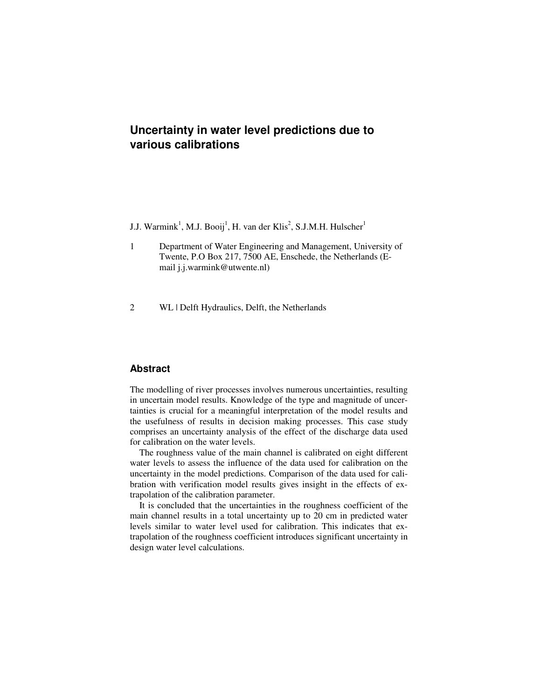# **Uncertainty in water level predictions due to various calibrations**

J.J. Warmink<sup>1</sup>, M.J. Booij<sup>1</sup>, H. van der Klis<sup>2</sup>, S.J.M.H. Hulscher<sup>1</sup>

1 Department of Water Engineering and Management, University of Twente, P.O Box 217, 7500 AE, Enschede, the Netherlands (Email j.j.warmink@utwente.nl)

2 WL | Delft Hydraulics, Delft, the Netherlands

#### **Abstract**

The modelling of river processes involves numerous uncertainties, resulting in uncertain model results. Knowledge of the type and magnitude of uncertainties is crucial for a meaningful interpretation of the model results and the usefulness of results in decision making processes. This case study comprises an uncertainty analysis of the effect of the discharge data used for calibration on the water levels.

The roughness value of the main channel is calibrated on eight different water levels to assess the influence of the data used for calibration on the uncertainty in the model predictions. Comparison of the data used for calibration with verification model results gives insight in the effects of extrapolation of the calibration parameter.

It is concluded that the uncertainties in the roughness coefficient of the main channel results in a total uncertainty up to 20 cm in predicted water levels similar to water level used for calibration. This indicates that extrapolation of the roughness coefficient introduces significant uncertainty in design water level calculations.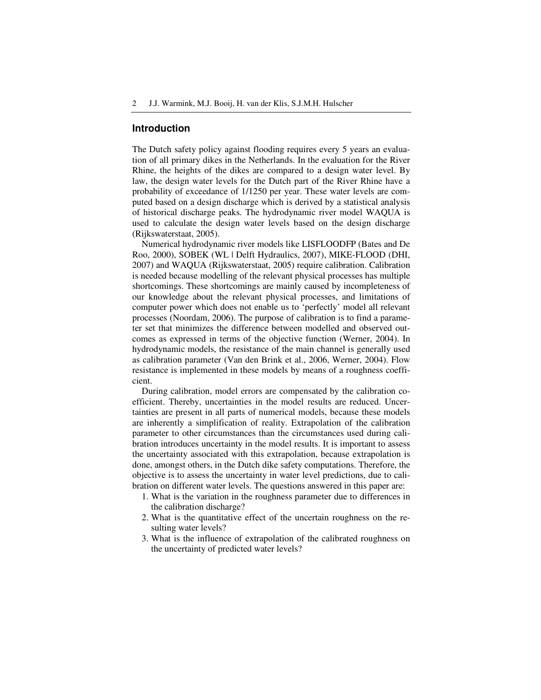## **Introduction**

The Dutch safety policy against flooding requires every 5 years an evaluation of all primary dikes in the Netherlands. In the evaluation for the River Rhine, the heights of the dikes are compared to a design water level. By law, the design water levels for the Dutch part of the River Rhine have a probability of exceedance of 1/1250 per year. These water levels are computed based on a design discharge which is derived by a statistical analysis of historical discharge peaks. The hydrodynamic river model WAQUA is used to calculate the design water levels based on the design discharge (Rijkswaterstaat, 2005).

Numerical hydrodynamic river models like LISFLOODFP (Bates and De Roo, 2000), SOBEK (WL | Delft Hydraulics, 2007), MIKE-FLOOD (DHI, 2007) and WAQUA (Rijkswaterstaat, 2005) require calibration. Calibration is needed because modelling of the relevant physical processes has multiple shortcomings. These shortcomings are mainly caused by incompleteness of our knowledge about the relevant physical processes, and limitations of computer power which does not enable us to 'perfectly' model all relevant processes (Noordam, 2006). The purpose of calibration is to find a parameter set that minimizes the difference between modelled and observed outcomes as expressed in terms of the objective function (Werner, 2004). In hydrodynamic models, the resistance of the main channel is generally used as calibration parameter (Van den Brink et al., 2006, Werner, 2004). Flow resistance is implemented in these models by means of a roughness coefficient.

During calibration, model errors are compensated by the calibration coefficient. Thereby, uncertainties in the model results are reduced. Uncertainties are present in all parts of numerical models, because these models are inherently a simplification of reality. Extrapolation of the calibration parameter to other circumstances than the circumstances used during calibration introduces uncertainty in the model results. It is important to assess the uncertainty associated with this extrapolation, because extrapolation is done, amongst others, in the Dutch dike safety computations. Therefore, the objective is to assess the uncertainty in water level predictions, due to calibration on different water levels. The questions answered in this paper are:

- 1. What is the variation in the roughness parameter due to differences in the calibration discharge?
- 2. What is the quantitative effect of the uncertain roughness on the resulting water levels?
- 3. What is the influence of extrapolation of the calibrated roughness on the uncertainty of predicted water levels?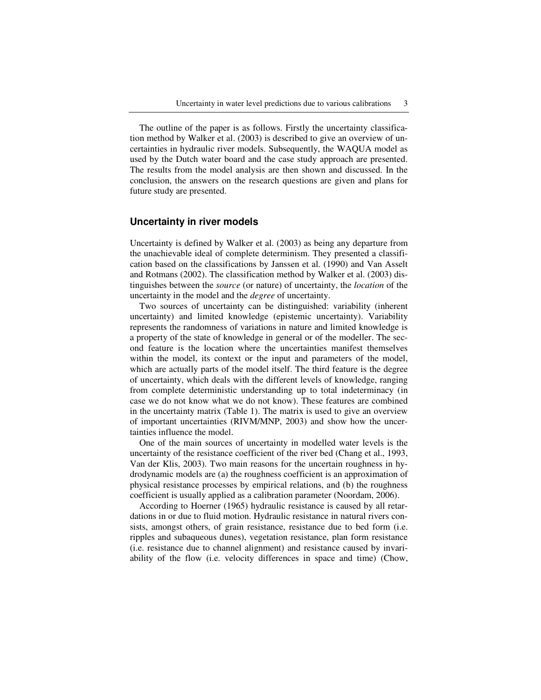The outline of the paper is as follows. Firstly the uncertainty classification method by Walker et al. (2003) is described to give an overview of uncertainties in hydraulic river models. Subsequently, the WAQUA model as used by the Dutch water board and the case study approach are presented. The results from the model analysis are then shown and discussed. In the conclusion, the answers on the research questions are given and plans for future study are presented.

#### **Uncertainty in river models**

Uncertainty is defined by Walker et al. (2003) as being any departure from the unachievable ideal of complete determinism. They presented a classification based on the classifications by Janssen et al. (1990) and Van Asselt and Rotmans (2002). The classification method by Walker et al. (2003) distinguishes between the *source* (or nature) of uncertainty, the *location* of the uncertainty in the model and the *degree* of uncertainty.

Two sources of uncertainty can be distinguished: variability (inherent uncertainty) and limited knowledge (epistemic uncertainty). Variability represents the randomness of variations in nature and limited knowledge is a property of the state of knowledge in general or of the modeller. The second feature is the location where the uncertainties manifest themselves within the model, its context or the input and parameters of the model, which are actually parts of the model itself. The third feature is the degree of uncertainty, which deals with the different levels of knowledge, ranging from complete deterministic understanding up to total indeterminacy (in case we do not know what we do not know). These features are combined in the uncertainty matrix (Table 1). The matrix is used to give an overview of important uncertainties (RIVM/MNP, 2003) and show how the uncertainties influence the model.

One of the main sources of uncertainty in modelled water levels is the uncertainty of the resistance coefficient of the river bed (Chang et al., 1993, Van der Klis, 2003). Two main reasons for the uncertain roughness in hydrodynamic models are (a) the roughness coefficient is an approximation of physical resistance processes by empirical relations, and (b) the roughness coefficient is usually applied as a calibration parameter (Noordam, 2006).

According to Hoerner (1965) hydraulic resistance is caused by all retardations in or due to fluid motion. Hydraulic resistance in natural rivers consists, amongst others, of grain resistance, resistance due to bed form (i.e. ripples and subaqueous dunes), vegetation resistance, plan form resistance (i.e. resistance due to channel alignment) and resistance caused by invariability of the flow (i.e. velocity differences in space and time) (Chow,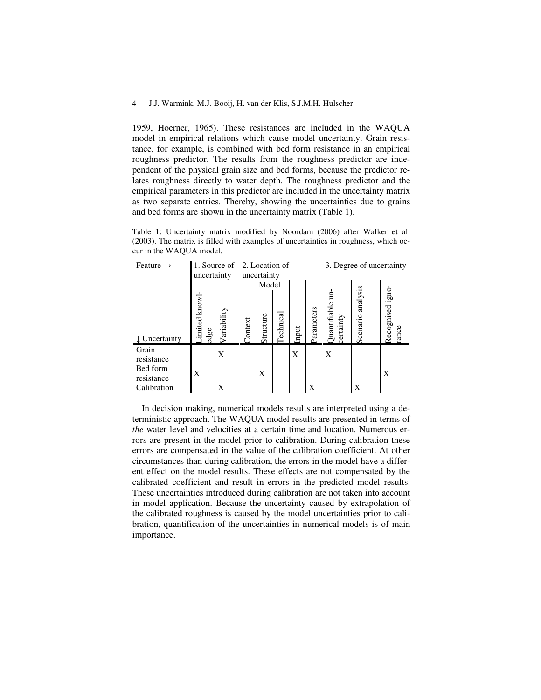1959, Hoerner, 1965). These resistances are included in the WAQUA model in empirical relations which cause model uncertainty. Grain resistance, for example, is combined with bed form resistance in an empirical roughness predictor. The results from the roughness predictor are independent of the physical grain size and bed forms, because the predictor relates roughness directly to water depth. The roughness predictor and the empirical parameters in this predictor are included in the uncertainty matrix as two separate entries. Thereby, showing the uncertainties due to grains and bed forms are shown in the uncertainty matrix (Table 1).

Table 1: Uncertainty matrix modified by Noordam (2006) after Walker et al. (2003). The matrix is filled with examples of uncertainties in roughness, which occur in the WAQUA model.

| Feature $\rightarrow$                         |                      |             | 1. Source of $\ $ 2. Location of |           |          |       |            | 3. Degree of uncertainty       |                      |                          |
|-----------------------------------------------|----------------------|-------------|----------------------------------|-----------|----------|-------|------------|--------------------------------|----------------------|--------------------------|
|                                               | uncertainty          | uncertainty |                                  |           |          |       |            |                                |                      |                          |
|                                               |                      |             |                                  | Model     |          |       |            |                                |                      |                          |
| ↓ Uncertainty                                 | imited knowl<br>edge | Variability | Context                          | Structure | echnical | Input | Parameters | Ė<br>Quantifiable<br>certainty | analysis<br>Scenario | Recognised igno<br>rance |
| Grain<br>resistance<br>Bed form<br>resistance | X                    | X           |                                  | X         |          | X     |            | X                              |                      | X                        |
| Calibration                                   |                      | X           |                                  |           |          |       | X          |                                | X                    |                          |

In decision making, numerical models results are interpreted using a deterministic approach. The WAQUA model results are presented in terms of *the* water level and velocities at a certain time and location. Numerous errors are present in the model prior to calibration. During calibration these errors are compensated in the value of the calibration coefficient. At other circumstances than during calibration, the errors in the model have a different effect on the model results. These effects are not compensated by the calibrated coefficient and result in errors in the predicted model results. These uncertainties introduced during calibration are not taken into account in model application. Because the uncertainty caused by extrapolation of the calibrated roughness is caused by the model uncertainties prior to calibration, quantification of the uncertainties in numerical models is of main importance.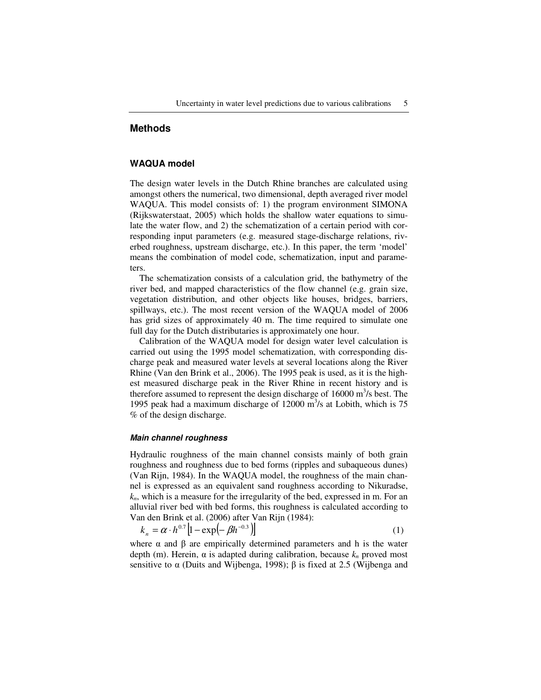# **Methods**

#### **WAQUA model**

The design water levels in the Dutch Rhine branches are calculated using amongst others the numerical, two dimensional, depth averaged river model WAQUA. This model consists of: 1) the program environment SIMONA (Rijkswaterstaat, 2005) which holds the shallow water equations to simulate the water flow, and 2) the schematization of a certain period with corresponding input parameters (e.g. measured stage-discharge relations, riverbed roughness, upstream discharge, etc.). In this paper, the term 'model' means the combination of model code, schematization, input and parameters.

The schematization consists of a calculation grid, the bathymetry of the river bed, and mapped characteristics of the flow channel (e.g. grain size, vegetation distribution, and other objects like houses, bridges, barriers, spillways, etc.). The most recent version of the WAQUA model of 2006 has grid sizes of approximately 40 m. The time required to simulate one full day for the Dutch distributaries is approximately one hour.

Calibration of the WAQUA model for design water level calculation is carried out using the 1995 model schematization, with corresponding discharge peak and measured water levels at several locations along the River Rhine (Van den Brink et al., 2006). The 1995 peak is used, as it is the highest measured discharge peak in the River Rhine in recent history and is therefore assumed to represent the design discharge of  $16000 \text{ m}^3/\text{s}$  best. The 1995 peak had a maximum discharge of 12000 m 3 /s at Lobith, which is 75 % of the design discharge.

#### *Main channel roughness*

Hydraulic roughness of the main channel consists mainly of both grain roughness and roughness due to bed forms (ripples and subaqueous dunes) (Van Rijn, 1984). In the WAQUA model, the roughness of the main channel is expressed as an equivalent sand roughness according to Nikuradse,  $k_n$ , which is a measure for the irregularity of the bed, expressed in m. For an alluvial river bed with bed forms, this roughness is calculated according to Van den Brink et al. (2006) after Van Rijn (1984):

$$
k_n = \alpha \cdot h^{0.7} \left[ 1 - \exp\left(-\beta h^{-0.3}\right) \right] \tag{1}
$$

where  $\alpha$  and  $\beta$  are empirically determined parameters and h is the water depth (m). Herein,  $\alpha$  is adapted during calibration, because  $k_n$  proved most sensitive to  $\alpha$  (Duits and Wijbenga, 1998);  $\beta$  is fixed at 2.5 (Wijbenga and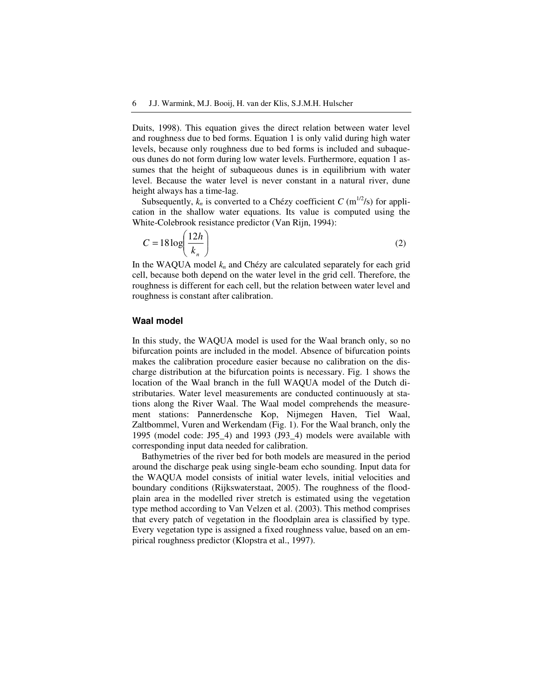Duits, 1998). This equation gives the direct relation between water level and roughness due to bed forms. Equation 1 is only valid during high water levels, because only roughness due to bed forms is included and subaqueous dunes do not form during low water levels. Furthermore, equation 1 assumes that the height of subaqueous dunes is in equilibrium with water level. Because the water level is never constant in a natural river, dune height always has a time-lag.

Subsequently,  $k_n$  is converted to a Chézy coefficient  $C$  (m<sup>1/2</sup>/s) for application in the shallow water equations. Its value is computed using the White-Colebrook resistance predictor (Van Rijn, 1994):

$$
C = 18 \log \left( \frac{12h}{k_n} \right) \tag{2}
$$

In the WAQUA model  $k_n$  and Chézy are calculated separately for each grid cell, because both depend on the water level in the grid cell. Therefore, the roughness is different for each cell, but the relation between water level and roughness is constant after calibration.

#### **Waal model**

In this study, the WAQUA model is used for the Waal branch only, so no bifurcation points are included in the model. Absence of bifurcation points makes the calibration procedure easier because no calibration on the discharge distribution at the bifurcation points is necessary. Fig. 1 shows the location of the Waal branch in the full WAQUA model of the Dutch distributaries. Water level measurements are conducted continuously at stations along the River Waal. The Waal model comprehends the measurement stations: Pannerdensche Kop, Nijmegen Haven, Tiel Waal, Zaltbommel, Vuren and Werkendam (Fig. 1). For the Waal branch, only the 1995 (model code: J95\_4) and 1993 (J93\_4) models were available with corresponding input data needed for calibration.

Bathymetries of the river bed for both models are measured in the period around the discharge peak using single-beam echo sounding. Input data for the WAQUA model consists of initial water levels, initial velocities and boundary conditions (Rijkswaterstaat, 2005). The roughness of the floodplain area in the modelled river stretch is estimated using the vegetation type method according to Van Velzen et al. (2003). This method comprises that every patch of vegetation in the floodplain area is classified by type. Every vegetation type is assigned a fixed roughness value, based on an empirical roughness predictor (Klopstra et al., 1997).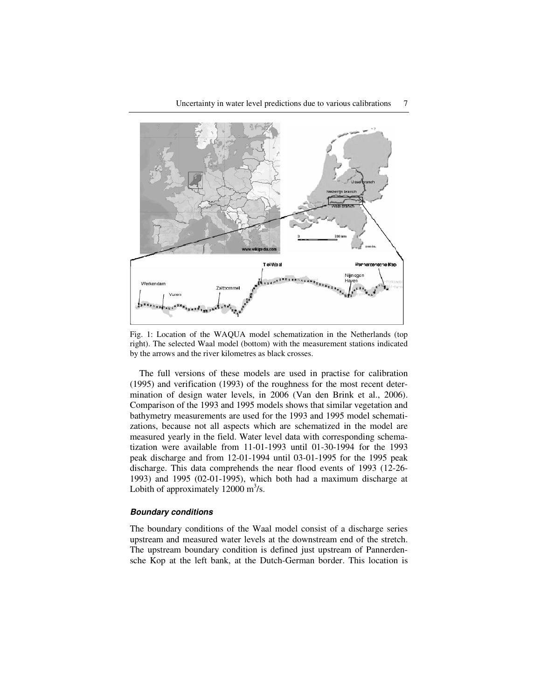

Fig. 1: Location of the WAQUA model schematization in the Netherlands (top right). The selected Waal model (bottom) with the measurement stations indicated by the arrows and the river kilometres as black crosses.

The full versions of these models are used in practise for calibration (1995) and verification (1993) of the roughness for the most recent determination of design water levels, in 2006 (Van den Brink et al., 2006). Comparison of the 1993 and 1995 models shows that similar vegetation and bathymetry measurements are used for the 1993 and 1995 model schematizations, because not all aspects which are schematized in the model are measured yearly in the field. Water level data with corresponding schematization were available from 11-01-1993 until 01-30-1994 for the 1993 peak discharge and from 12-01-1994 until 03-01-1995 for the 1995 peak discharge. This data comprehends the near flood events of 1993 (12-26- 1993) and 1995 (02-01-1995), which both had a maximum discharge at Lobith of approximately  $12000 \text{ m}^3\text{/s}.$ 

#### *Boundary conditions*

The boundary conditions of the Waal model consist of a discharge series upstream and measured water levels at the downstream end of the stretch. The upstream boundary condition is defined just upstream of Pannerdensche Kop at the left bank, at the Dutch-German border. This location is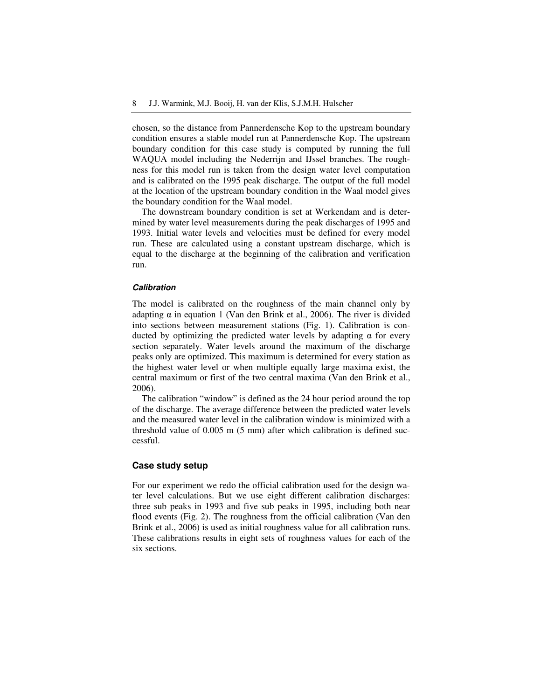chosen, so the distance from Pannerdensche Kop to the upstream boundary condition ensures a stable model run at Pannerdensche Kop. The upstream boundary condition for this case study is computed by running the full WAQUA model including the Nederrijn and IJssel branches. The roughness for this model run is taken from the design water level computation and is calibrated on the 1995 peak discharge. The output of the full model at the location of the upstream boundary condition in the Waal model gives the boundary condition for the Waal model.

The downstream boundary condition is set at Werkendam and is determined by water level measurements during the peak discharges of 1995 and 1993. Initial water levels and velocities must be defined for every model run. These are calculated using a constant upstream discharge, which is equal to the discharge at the beginning of the calibration and verification run.

## *Calibration*

The model is calibrated on the roughness of the main channel only by adapting  $\alpha$  in equation 1 (Van den Brink et al., 2006). The river is divided into sections between measurement stations (Fig. 1). Calibration is conducted by optimizing the predicted water levels by adapting  $\alpha$  for every section separately. Water levels around the maximum of the discharge peaks only are optimized. This maximum is determined for every station as the highest water level or when multiple equally large maxima exist, the central maximum or first of the two central maxima (Van den Brink et al., 2006).

The calibration "window" is defined as the 24 hour period around the top of the discharge. The average difference between the predicted water levels and the measured water level in the calibration window is minimized with a threshold value of 0.005 m (5 mm) after which calibration is defined successful.

## **Case study setup**

For our experiment we redo the official calibration used for the design water level calculations. But we use eight different calibration discharges: three sub peaks in 1993 and five sub peaks in 1995, including both near flood events (Fig. 2). The roughness from the official calibration (Van den Brink et al., 2006) is used as initial roughness value for all calibration runs. These calibrations results in eight sets of roughness values for each of the six sections.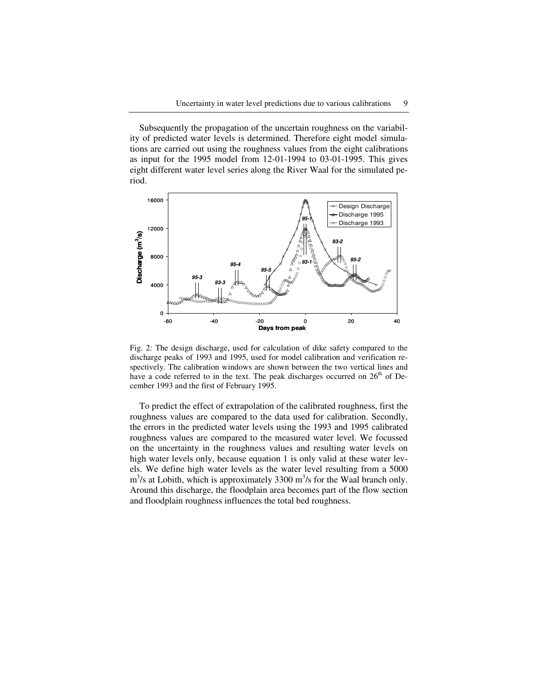Subsequently the propagation of the uncertain roughness on the variability of predicted water levels is determined. Therefore eight model simulations are carried out using the roughness values from the eight calibrations as input for the 1995 model from 12-01-1994 to 03-01-1995. This gives eight different water level series along the River Waal for the simulated period.



Fig. 2: The design discharge, used for calculation of dike safety compared to the discharge peaks of 1993 and 1995, used for model calibration and verification respectively. The calibration windows are shown between the two vertical lines and have a code referred to in the text. The peak discharges occurred on  $26<sup>th</sup>$  of December 1993 and the first of February 1995.

To predict the effect of extrapolation of the calibrated roughness, first the roughness values are compared to the data used for calibration. Secondly, the errors in the predicted water levels using the 1993 and 1995 calibrated roughness values are compared to the measured water level. We focussed on the uncertainty in the roughness values and resulting water levels on high water levels only, because equation 1 is only valid at these water levels. We define high water levels as the water level resulting from a 5000 m<sup>3</sup>/s at Lobith, which is approximately 3300 m<sup>3</sup>/s for the Waal branch only. Around this discharge, the floodplain area becomes part of the flow section and floodplain roughness influences the total bed roughness.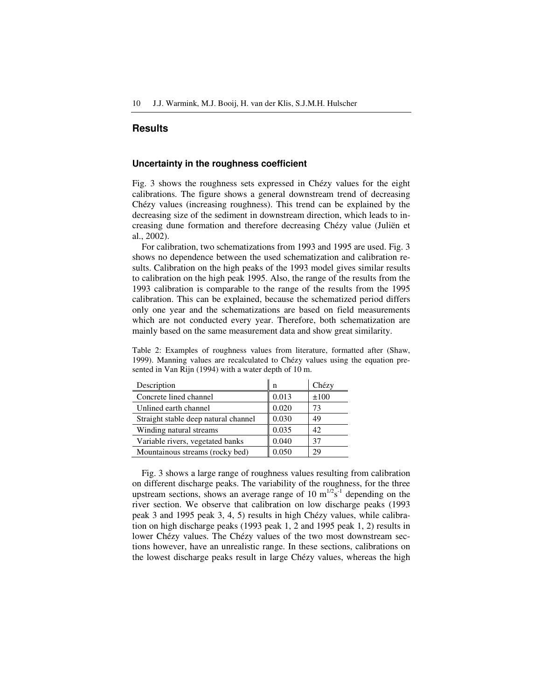# **Results**

#### **Uncertainty in the roughness coefficient**

Fig. 3 shows the roughness sets expressed in Chézy values for the eight calibrations. The figure shows a general downstream trend of decreasing Chézy values (increasing roughness). This trend can be explained by the decreasing size of the sediment in downstream direction, which leads to increasing dune formation and therefore decreasing Chézy value (Juliën et al., 2002).

For calibration, two schematizations from 1993 and 1995 are used. Fig. 3 shows no dependence between the used schematization and calibration results. Calibration on the high peaks of the 1993 model gives similar results to calibration on the high peak 1995. Also, the range of the results from the 1993 calibration is comparable to the range of the results from the 1995 calibration. This can be explained, because the schematized period differs only one year and the schematizations are based on field measurements which are not conducted every year. Therefore, both schematization are mainly based on the same measurement data and show great similarity.

| Description                          | n     | Chézy |
|--------------------------------------|-------|-------|
| Concrete lined channel               | 0.013 | ±100  |
| Unlined earth channel                | 0.020 | 73    |
| Straight stable deep natural channel | 0.030 | 49    |
| Winding natural streams              | 0.035 | 42    |
| Variable rivers, vegetated banks     | 0.040 | 37    |
| Mountainous streams (rocky bed)      | 0.050 | 29    |

Table 2: Examples of roughness values from literature, formatted after (Shaw, 1999). Manning values are recalculated to Chézy values using the equation presented in Van Rijn (1994) with a water depth of 10 m.

Fig. 3 shows a large range of roughness values resulting from calibration on different discharge peaks. The variability of the roughness, for the three upstream sections, shows an average range of 10  $m^{1/2}s^{-1}$  depending on the river section. We observe that calibration on low discharge peaks (1993 peak 3 and 1995 peak 3, 4, 5) results in high Chézy values, while calibration on high discharge peaks (1993 peak 1, 2 and 1995 peak 1, 2) results in lower Chézy values. The Chézy values of the two most downstream sections however, have an unrealistic range. In these sections, calibrations on the lowest discharge peaks result in large Chézy values, whereas the high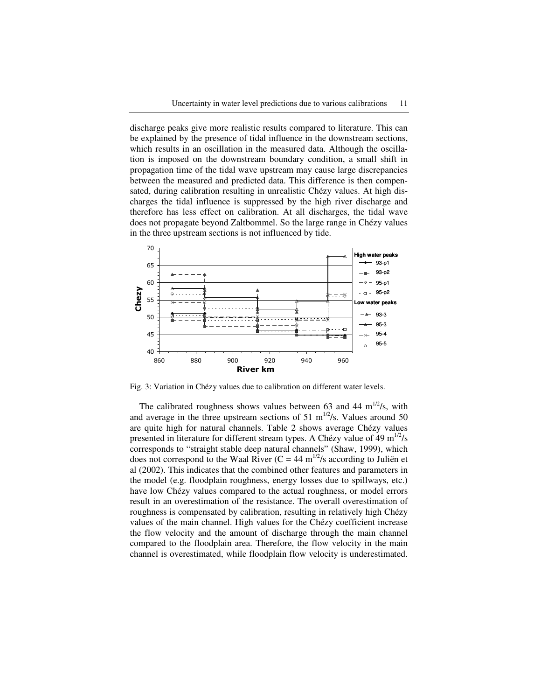discharge peaks give more realistic results compared to literature. This can be explained by the presence of tidal influence in the downstream sections, which results in an oscillation in the measured data. Although the oscillation is imposed on the downstream boundary condition, a small shift in propagation time of the tidal wave upstream may cause large discrepancies between the measured and predicted data. This difference is then compensated, during calibration resulting in unrealistic Chézy values. At high discharges the tidal influence is suppressed by the high river discharge and therefore has less effect on calibration. At all discharges, the tidal wave does not propagate beyond Zaltbommel. So the large range in Chézy values in the three upstream sections is not influenced by tide.



Fig. 3: Variation in Chézy values due to calibration on different water levels.

The calibrated roughness shows values between 63 and 44  $\text{m}^{1/2}/\text{s}$ , with and average in the three upstream sections of 51  $\text{m}^{1/2}/\text{s}$ . Values around 50 are quite high for natural channels. Table 2 shows average Chézy values presented in literature for different stream types. A Chézy value of 49 m $^{1/2}/s$ corresponds to "straight stable deep natural channels" (Shaw, 1999), which does not correspond to the Waal River (C = 44 m<sup>1/2</sup>/s according to Juliën et al (2002). This indicates that the combined other features and parameters in the model (e.g. floodplain roughness, energy losses due to spillways, etc.) have low Chézy values compared to the actual roughness, or model errors result in an overestimation of the resistance. The overall overestimation of roughness is compensated by calibration, resulting in relatively high Chézy values of the main channel. High values for the Chézy coefficient increase the flow velocity and the amount of discharge through the main channel compared to the floodplain area. Therefore, the flow velocity in the main channel is overestimated, while floodplain flow velocity is underestimated.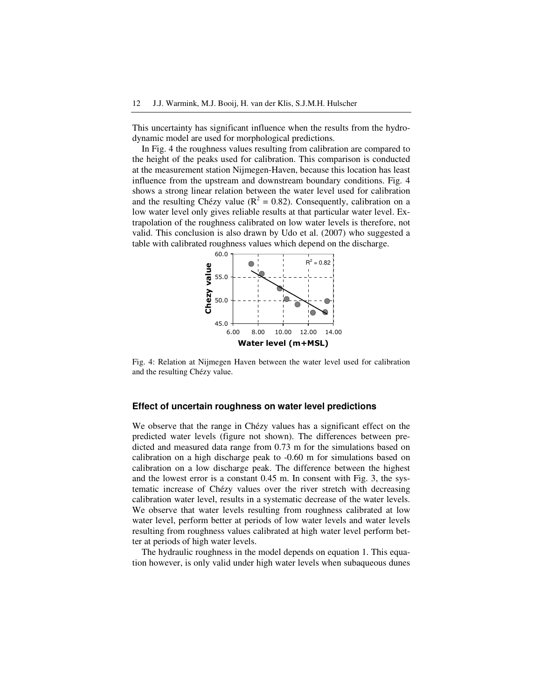This uncertainty has significant influence when the results from the hydrodynamic model are used for morphological predictions.

In Fig. 4 the roughness values resulting from calibration are compared to the height of the peaks used for calibration. This comparison is conducted at the measurement station Nijmegen-Haven, because this location has least influence from the upstream and downstream boundary conditions. Fig. 4 shows a strong linear relation between the water level used for calibration and the resulting Chézy value ( $R^2 = 0.82$ ). Consequently, calibration on a low water level only gives reliable results at that particular water level. Extrapolation of the roughness calibrated on low water levels is therefore, not valid. This conclusion is also drawn by Udo et al. (2007) who suggested a table with calibrated roughness values which depend on the discharge.



Fig. 4: Relation at Nijmegen Haven between the water level used for calibration and the resulting Chézy value.

#### **Effect of uncertain roughness on water level predictions**

We observe that the range in Chézy values has a significant effect on the predicted water levels (figure not shown). The differences between predicted and measured data range from 0.73 m for the simulations based on calibration on a high discharge peak to -0.60 m for simulations based on calibration on a low discharge peak. The difference between the highest and the lowest error is a constant 0.45 m. In consent with Fig. 3, the systematic increase of Chézy values over the river stretch with decreasing calibration water level, results in a systematic decrease of the water levels. We observe that water levels resulting from roughness calibrated at low water level, perform better at periods of low water levels and water levels resulting from roughness values calibrated at high water level perform better at periods of high water levels.

The hydraulic roughness in the model depends on equation 1. This equation however, is only valid under high water levels when subaqueous dunes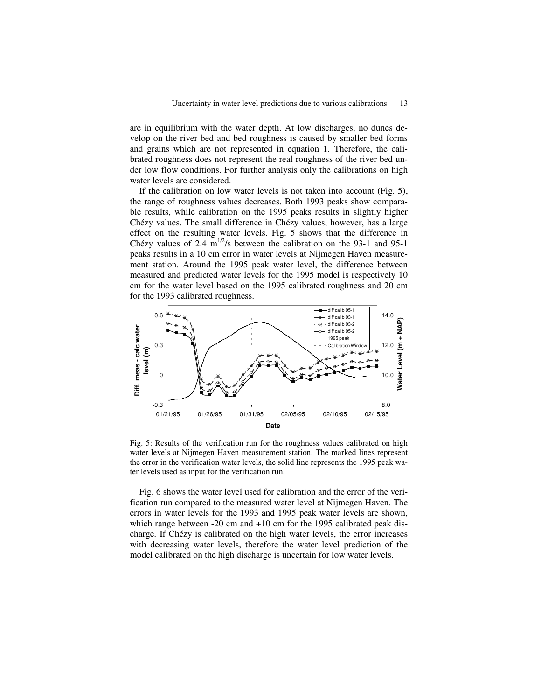are in equilibrium with the water depth. At low discharges, no dunes develop on the river bed and bed roughness is caused by smaller bed forms and grains which are not represented in equation 1. Therefore, the calibrated roughness does not represent the real roughness of the river bed under low flow conditions. For further analysis only the calibrations on high water levels are considered.

If the calibration on low water levels is not taken into account (Fig. 5), the range of roughness values decreases. Both 1993 peaks show comparable results, while calibration on the 1995 peaks results in slightly higher Chézy values. The small difference in Chézy values, however, has a large effect on the resulting water levels. Fig. 5 shows that the difference in Chézy values of 2.4  $m^{1/2}/s$  between the calibration on the 93-1 and 95-1 peaks results in a 10 cm error in water levels at Nijmegen Haven measurement station. Around the 1995 peak water level, the difference between measured and predicted water levels for the 1995 model is respectively 10 cm for the water level based on the 1995 calibrated roughness and 20 cm for the 1993 calibrated roughness.



Fig. 5: Results of the verification run for the roughness values calibrated on high water levels at Nijmegen Haven measurement station. The marked lines represent the error in the verification water levels, the solid line represents the 1995 peak water levels used as input for the verification run.

Fig. 6 shows the water level used for calibration and the error of the verification run compared to the measured water level at Nijmegen Haven. The errors in water levels for the 1993 and 1995 peak water levels are shown, which range between -20 cm and +10 cm for the 1995 calibrated peak discharge. If Chézy is calibrated on the high water levels, the error increases with decreasing water levels, therefore the water level prediction of the model calibrated on the high discharge is uncertain for low water levels.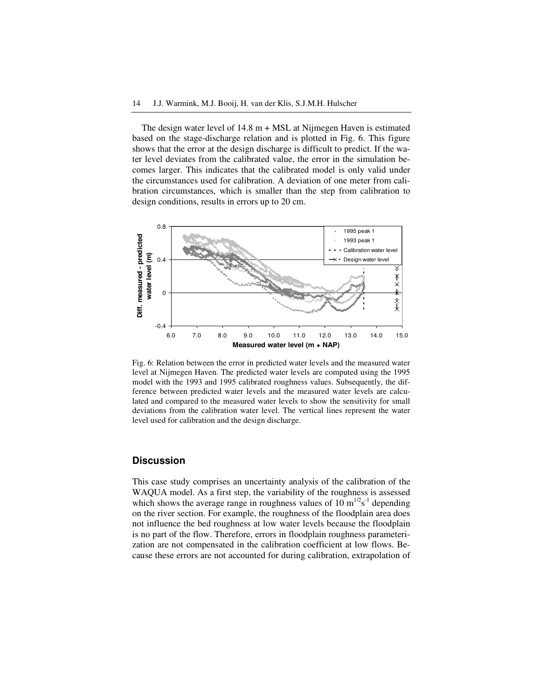The design water level of  $14.8 \text{ m} + \text{MSL}$  at Nijmegen Haven is estimated based on the stage-discharge relation and is plotted in Fig. 6. This figure shows that the error at the design discharge is difficult to predict. If the water level deviates from the calibrated value, the error in the simulation becomes larger. This indicates that the calibrated model is only valid under the circumstances used for calibration. A deviation of one meter from calibration circumstances, which is smaller than the step from calibration to design conditions, results in errors up to 20 cm.



Fig. 6: Relation between the error in predicted water levels and the measured water level at Nijmegen Haven. The predicted water levels are computed using the 1995 model with the 1993 and 1995 calibrated roughness values. Subsequently, the difference between predicted water levels and the measured water levels are calculated and compared to the measured water levels to show the sensitivity for small deviations from the calibration water level. The vertical lines represent the water level used for calibration and the design discharge.

# **Discussion**

This case study comprises an uncertainty analysis of the calibration of the WAQUA model. As a first step, the variability of the roughness is assessed which shows the average range in roughness values of 10  $m^{1/2}s^{-1}$  depending on the river section. For example, the roughness of the floodplain area does not influence the bed roughness at low water levels because the floodplain is no part of the flow. Therefore, errors in floodplain roughness parameterization are not compensated in the calibration coefficient at low flows. Because these errors are not accounted for during calibration, extrapolation of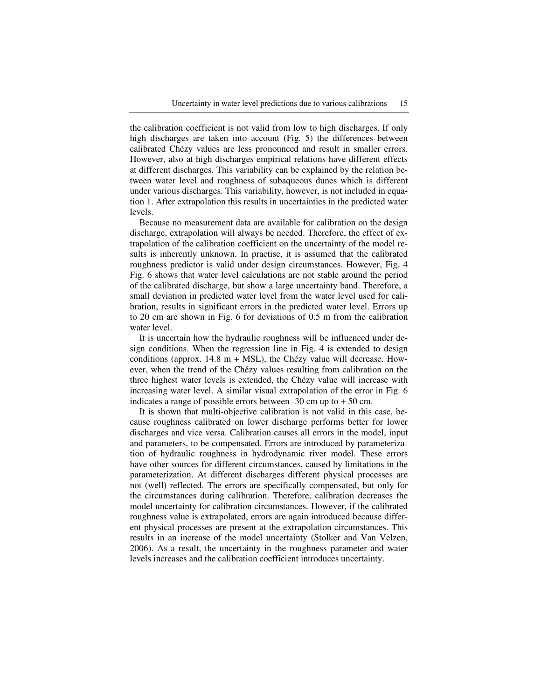the calibration coefficient is not valid from low to high discharges. If only high discharges are taken into account (Fig. 5) the differences between calibrated Chézy values are less pronounced and result in smaller errors. However, also at high discharges empirical relations have different effects at different discharges. This variability can be explained by the relation between water level and roughness of subaqueous dunes which is different under various discharges. This variability, however, is not included in equation 1. After extrapolation this results in uncertainties in the predicted water levels.

Because no measurement data are available for calibration on the design discharge, extrapolation will always be needed. Therefore, the effect of extrapolation of the calibration coefficient on the uncertainty of the model results is inherently unknown. In practise, it is assumed that the calibrated roughness predictor is valid under design circumstances. However, Fig. 4 Fig. 6 shows that water level calculations are not stable around the period of the calibrated discharge, but show a large uncertainty band. Therefore, a small deviation in predicted water level from the water level used for calibration, results in significant errors in the predicted water level. Errors up to 20 cm are shown in Fig. 6 for deviations of 0.5 m from the calibration water level.

It is uncertain how the hydraulic roughness will be influenced under design conditions. When the regression line in Fig. 4 is extended to design conditions (approx.  $14.8 \text{ m} + \text{MSL}$ ), the Chézy value will decrease. However, when the trend of the Chézy values resulting from calibration on the three highest water levels is extended, the Chézy value will increase with increasing water level. A similar visual extrapolation of the error in Fig. 6 indicates a range of possible errors between -30 cm up to + 50 cm.

It is shown that multi-objective calibration is not valid in this case, because roughness calibrated on lower discharge performs better for lower discharges and vice versa. Calibration causes all errors in the model, input and parameters, to be compensated. Errors are introduced by parameterization of hydraulic roughness in hydrodynamic river model. These errors have other sources for different circumstances, caused by limitations in the parameterization. At different discharges different physical processes are not (well) reflected. The errors are specifically compensated, but only for the circumstances during calibration. Therefore, calibration decreases the model uncertainty for calibration circumstances. However, if the calibrated roughness value is extrapolated, errors are again introduced because different physical processes are present at the extrapolation circumstances. This results in an increase of the model uncertainty (Stolker and Van Velzen, 2006). As a result, the uncertainty in the roughness parameter and water levels increases and the calibration coefficient introduces uncertainty.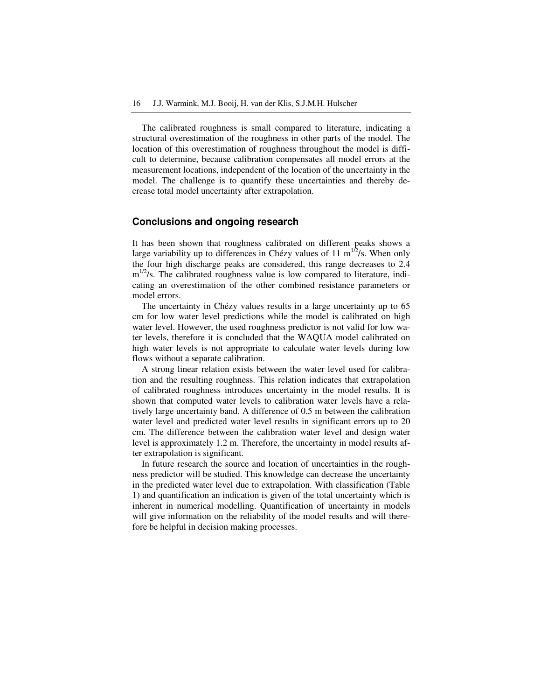The calibrated roughness is small compared to literature, indicating a structural overestimation of the roughness in other parts of the model. The location of this overestimation of roughness throughout the model is difficult to determine, because calibration compensates all model errors at the measurement locations, independent of the location of the uncertainty in the model. The challenge is to quantify these uncertainties and thereby decrease total model uncertainty after extrapolation.

## **Conclusions and ongoing research**

It has been shown that roughness calibrated on different peaks shows a large variability up to differences in Chézy values of 11  $m^{1/2}/s$ . When only the four high discharge peaks are considered, this range decreases to 2.4  $m^{1/2}/s$ . The calibrated roughness value is low compared to literature, indicating an overestimation of the other combined resistance parameters or model errors.

The uncertainty in Chézy values results in a large uncertainty up to 65 cm for low water level predictions while the model is calibrated on high water level. However, the used roughness predictor is not valid for low water levels, therefore it is concluded that the WAQUA model calibrated on high water levels is not appropriate to calculate water levels during low flows without a separate calibration.

A strong linear relation exists between the water level used for calibration and the resulting roughness. This relation indicates that extrapolation of calibrated roughness introduces uncertainty in the model results. It is shown that computed water levels to calibration water levels have a relatively large uncertainty band. A difference of 0.5 m between the calibration water level and predicted water level results in significant errors up to 20 cm. The difference between the calibration water level and design water level is approximately 1.2 m. Therefore, the uncertainty in model results after extrapolation is significant.

In future research the source and location of uncertainties in the roughness predictor will be studied. This knowledge can decrease the uncertainty in the predicted water level due to extrapolation. With classification (Table 1) and quantification an indication is given of the total uncertainty which is inherent in numerical modelling. Quantification of uncertainty in models will give information on the reliability of the model results and will therefore be helpful in decision making processes.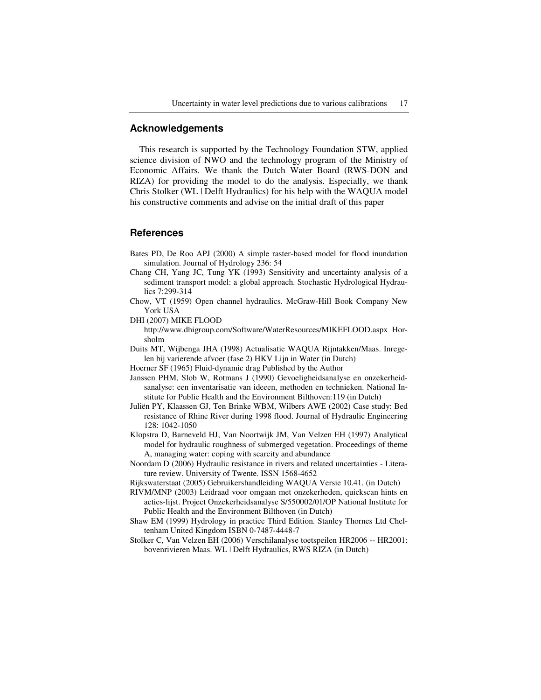## **Acknowledgements**

This research is supported by the Technology Foundation STW, applied science division of NWO and the technology program of the Ministry of Economic Affairs. We thank the Dutch Water Board (RWS-DON and RIZA) for providing the model to do the analysis. Especially, we thank Chris Stolker (WL | Delft Hydraulics) for his help with the WAQUA model his constructive comments and advise on the initial draft of this paper

#### **References**

- Bates PD, De Roo APJ (2000) A simple raster-based model for flood inundation simulation. Journal of Hydrology 236: 54
- Chang CH, Yang JC, Tung YK (1993) Sensitivity and uncertainty analysis of a sediment transport model: a global approach. Stochastic Hydrological Hydraulics 7:299-314
- Chow, VT (1959) Open channel hydraulics. McGraw-Hill Book Company New York USA
- DHI (2007) MIKE FLOOD

http://www.dhigroup.com/Software/WaterResources/MIKEFLOOD.aspx Horsholm

- Duits MT, Wijbenga JHA (1998) Actualisatie WAQUA Rijntakken/Maas. Inregelen bij varierende afvoer (fase 2) HKV Lijn in Water (in Dutch)
- Hoerner SF (1965) Fluid-dynamic drag Published by the Author
- Janssen PHM, Slob W, Rotmans J (1990) Gevoeligheidsanalyse en onzekerheidsanalyse: een inventarisatie van ideeen, methoden en technieken. National Institute for Public Health and the Environment Bilthoven:119 (in Dutch)
- Juliën PY, Klaassen GJ, Ten Brinke WBM, Wilbers AWE (2002) Case study: Bed resistance of Rhine River during 1998 flood. Journal of Hydraulic Engineering 128: 1042-1050
- Klopstra D, Barneveld HJ, Van Noortwijk JM, Van Velzen EH (1997) Analytical model for hydraulic roughness of submerged vegetation. Proceedings of theme A, managing water: coping with scarcity and abundance
- Noordam D (2006) Hydraulic resistance in rivers and related uncertainties Literature review. University of Twente. ISSN 1568-4652
- Rijkswaterstaat (2005) Gebruikershandleiding WAQUA Versie 10.41. (in Dutch)
- RIVM/MNP (2003) Leidraad voor omgaan met onzekerheden, quickscan hints en acties-lijst. Project Onzekerheidsanalyse S/550002/01/OP National Institute for Public Health and the Environment Bilthoven (in Dutch)
- Shaw EM (1999) Hydrology in practice Third Edition. Stanley Thornes Ltd Cheltenham United Kingdom ISBN 0-7487-4448-7
- Stolker C, Van Velzen EH (2006) Verschilanalyse toetspeilen HR2006 -- HR2001: bovenrivieren Maas. WL | Delft Hydraulics, RWS RIZA (in Dutch)